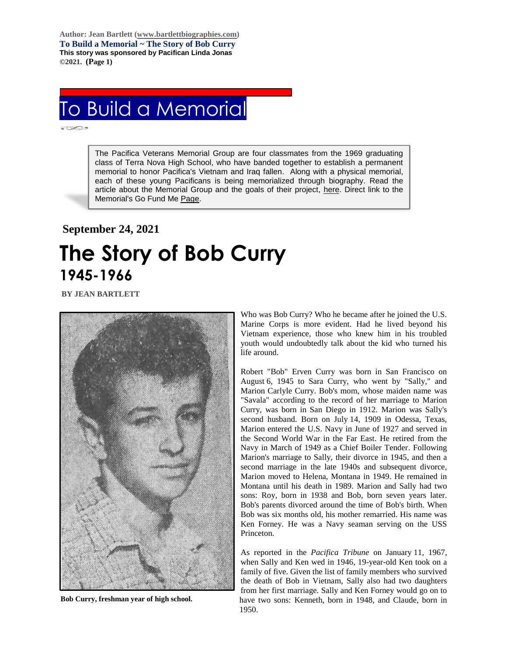**Author: Jean Bartlett [\(www.bartlettbiographies.com\)](http://www.bartlettbiographies.com/) To Build a Memorial ~ The Story of Bob Curry This story was sponsored by Pacifican Linda Jonas ©2021. (Page 1)**

## To Build a Memorial

Ī

The Pacifica Veterans Memorial Group are four classmates from the 1969 graduating class of Terra Nova High School, who have banded together to establish a permanent memorial to honor Pacifica's Vietnam and Iraq fallen. Along with a physical memorial, each of these young Pacificans is being memorialized through biography. Read the article about the Memorial Group and the goals of their project, [here.](https://46d14119-b42d-469c-887f-083db2a10fe7.filesusr.com/ugd/5ea9c3_694b61f9c88d4750bf1a520233e8f35f.pdf) Direct link to the Memorial's Go Fund Me [Page.](https://www.gofundme.com/f/uyf8r-25000?utm_source=customer&utm_medium=copy_link-tip&utm_campaign=p_cp+share-sheet)

## **September 24, 2021 The Story of Bob Curry 1945-1966**

**BY JEAN BARTLETT** 

.



**Bob Curry, freshman year of high school.**

Who was Bob Curry? Who he became after he joined the U.S. Marine Corps is more evident. Had he lived beyond his Vietnam experience, those who knew him in his troubled youth would undoubtedly talk about the kid who turned his life around.

Robert "Bob" Erven Curry was born in San Francisco on August 6, 1945 to Sara Curry, who went by "Sally," and Marion Carlyle Curry. Bob's mom, whose maiden name was "Savala" according to the record of her marriage to Marion Curry, was born in San Diego in 1912. Marion was Sally's second husband. Born on July 14, 1909 in Odessa, Texas, Marion entered the U.S. Navy in June of 1927 and served in the Second World War in the Far East. He retired from the Navy in March of 1949 as a Chief Boiler Tender. Following Marion's marriage to Sally, their divorce in 1945, and then a second marriage in the late 1940s and subsequent divorce, Marion moved to Helena, Montana in 1949. He remained in Montana until his death in 1989. Marion and Sally had two sons: Roy, born in 1938 and Bob, born seven years later. Bob's parents divorced around the time of Bob's birth. When Bob was six months old, his mother remarried. His name was Ken Forney. He was a Navy seaman serving on the USS Princeton.

As reported in the *Pacifica Tribune* on January 11, 1967, when Sally and Ken wed in 1946, 19-year-old Ken took on a family of five. Given the list of family members who survived the death of Bob in Vietnam, Sally also had two daughters from her first marriage. Sally and Ken Forney would go on to have two sons: Kenneth, born in 1948, and Claude, born in 1950.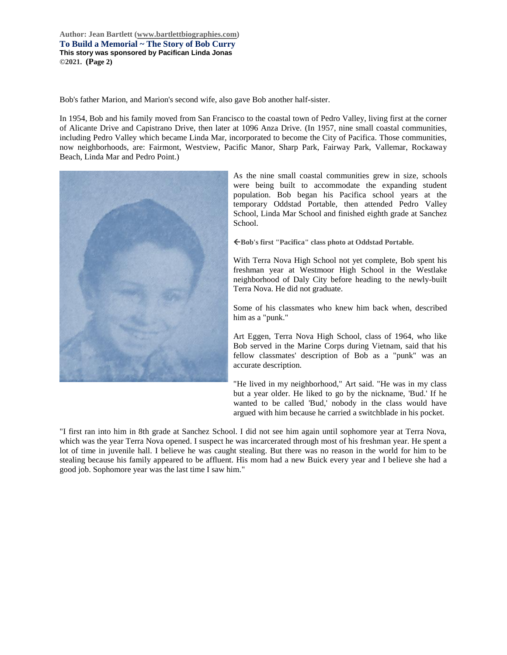**Author: Jean Bartlett [\(www.bartlettbiographies.com\)](http://www.bartlettbiographies.com/) To Build a Memorial ~ The Story of Bob Curry This story was sponsored by Pacifican Linda Jonas ©2021. (Page 2)**

Bob's father Marion, and Marion's second wife, also gave Bob another half-sister.

In 1954, Bob and his family moved from San Francisco to the coastal town of Pedro Valley, living first at the corner of Alicante Drive and Capistrano Drive, then later at 1096 Anza Drive. (In 1957, nine small coastal communities, including Pedro Valley which became Linda Mar, incorporated to become the City of Pacifica. Those communities, now neighborhoods, are: Fairmont, Westview, Pacific Manor, Sharp Park, Fairway Park, Vallemar, Rockaway Beach, Linda Mar and Pedro Point.)



As the nine small coastal communities grew in size, schools were being built to accommodate the expanding student population. Bob began his Pacifica school years at the temporary Oddstad Portable, then attended Pedro Valley School, Linda Mar School and finished eighth grade at Sanchez School.

**Bob's first "Pacifica" class photo at Oddstad Portable.**

With Terra Nova High School not yet complete, Bob spent his freshman year at Westmoor High School in the Westlake neighborhood of Daly City before heading to the newly-built Terra Nova. He did not graduate.

Some of his classmates who knew him back when, described him as a "punk."

Art Eggen, Terra Nova High School, class of 1964, who like Bob served in the Marine Corps during Vietnam, said that his fellow classmates' description of Bob as a "punk" was an accurate description.

"He lived in my neighborhood," Art said. "He was in my class but a year older. He liked to go by the nickname, 'Bud.' If he wanted to be called 'Bud,' nobody in the class would have argued with him because he carried a switchblade in his pocket.

"I first ran into him in 8th grade at Sanchez School. I did not see him again until sophomore year at Terra Nova, which was the year Terra Nova opened. I suspect he was incarcerated through most of his freshman year. He spent a lot of time in juvenile hall. I believe he was caught stealing. But there was no reason in the world for him to be stealing because his family appeared to be affluent. His mom had a new Buick every year and I believe she had a good job. Sophomore year was the last time I saw him."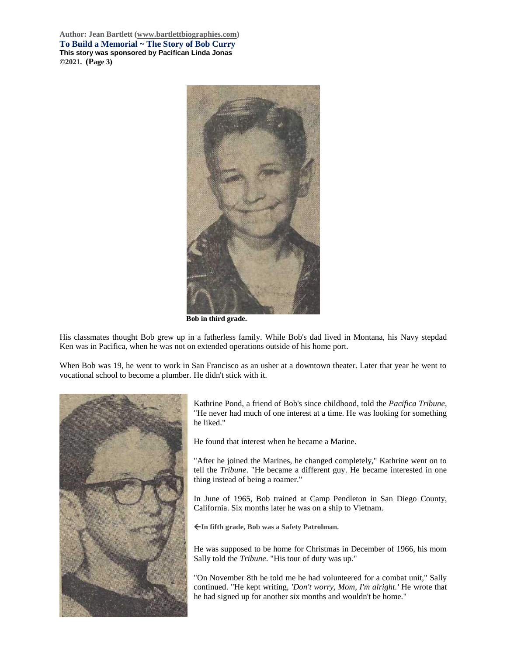**Author: Jean Bartlett [\(www.bartlettbiographies.com\)](http://www.bartlettbiographies.com/) To Build a Memorial ~ The Story of Bob Curry This story was sponsored by Pacifican Linda Jonas ©2021. (Page 3)**



**Bob in third grade.**

His classmates thought Bob grew up in a fatherless family. While Bob's dad lived in Montana, his Navy stepdad Ken was in Pacifica, when he was not on extended operations outside of his home port.

When Bob was 19, he went to work in San Francisco as an usher at a downtown theater. Later that year he went to vocational school to become a plumber. He didn't stick with it.



Kathrine Pond, a friend of Bob's since childhood, told the *Pacifica Tribune*, "He never had much of one interest at a time. He was looking for something he liked."

He found that interest when he became a Marine.

"After he joined the Marines, he changed completely," Kathrine went on to tell the *Tribune*. "He became a different guy. He became interested in one thing instead of being a roamer."

In June of 1965, Bob trained at Camp Pendleton in San Diego County, California. Six months later he was on a ship to Vietnam.

**In fifth grade, Bob was a Safety Patrolman.**

He was supposed to be home for Christmas in December of 1966, his mom Sally told the *Tribune*. "His tour of duty was up."

"On November 8th he told me he had volunteered for a combat unit," Sally continued. "He kept writing, *'Don't worry, Mom, I'm alright.'* He wrote that he had signed up for another six months and wouldn't be home."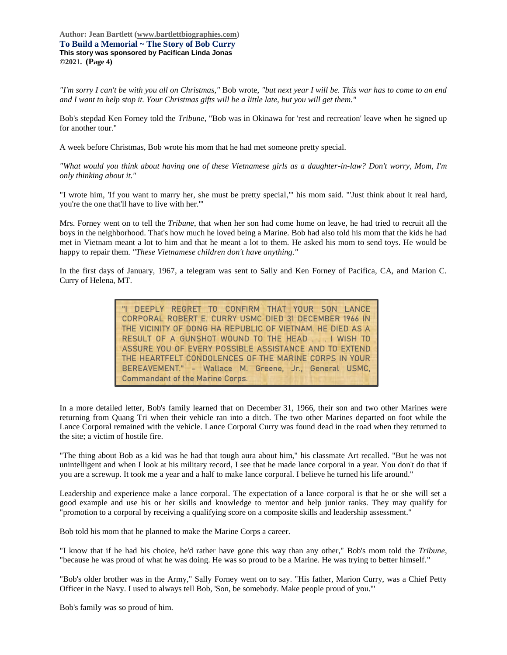**Author: Jean Bartlett [\(www.bartlettbiographies.com\)](http://www.bartlettbiographies.com/) To Build a Memorial ~ The Story of Bob Curry This story was sponsored by Pacifican Linda Jonas ©2021. (Page 4)**

*"I'm sorry I can't be with you all on Christmas,"* Bob wrote, *"but next year I will be. This war has to come to an end and I want to help stop it. Your Christmas gifts will be a little late, but you will get them."*

Bob's stepdad Ken Forney told the *Tribune*, "Bob was in Okinawa for 'rest and recreation' leave when he signed up for another tour."

A week before Christmas, Bob wrote his mom that he had met someone pretty special.

*"What would you think about having one of these Vietnamese girls as a daughter-in-law? Don't worry, Mom, I'm only thinking about it."*

"I wrote him, 'If you want to marry her, she must be pretty special,'" his mom said. "'Just think about it real hard, you're the one that'll have to live with her.'"

Mrs. Forney went on to tell the *Tribune*, that when her son had come home on leave, he had tried to recruit all the boys in the neighborhood. That's how much he loved being a Marine. Bob had also told his mom that the kids he had met in Vietnam meant a lot to him and that he meant a lot to them. He asked his mom to send toys. He would be happy to repair them. *"These Vietnamese children don't have anything."*

In the first days of January, 1967, a telegram was sent to Sally and Ken Forney of Pacifica, CA, and Marion C. Curry of Helena, MT.

> "I DEEPLY REGRET TO CONFIRM THAT YOUR SON LANCE CORPORAL ROBERT E. CURRY USMC DIED 31 DECEMBER 1966 IN THE VICINITY OF DONG HA REPUBLIC OF VIETNAM. HE DIED AS A RESULT OF A GUNSHOT WOUND TO THE HEAD **. . .** I WISH TO ASSURE YOU OF EVERY POSSIBLE ASSISTANCE AND TO EXTEND THE HEARTFELT CONDOLENCES OF THE MARINE CORPS IN YOUR BEREAVEMENT." – **Wallace M. Greene, Jr., General USMC, Commandant of the Marine Corps.**

In a more detailed letter, Bob's family learned that on December 31, 1966, their son and two other Marines were returning from Quang Tri when their vehicle ran into a ditch. The two other Marines departed on foot while the Lance Corporal remained with the vehicle. Lance Corporal Curry was found dead in the road when they returned to the site; a victim of hostile fire.

"The thing about Bob as a kid was he had that tough aura about him," his classmate Art recalled. "But he was not unintelligent and when I look at his military record, I see that he made lance corporal in a year. You don't do that if you are a screwup. It took me a year and a half to make lance corporal. I believe he turned his life around."

Leadership and experience make a lance corporal. The expectation of a lance corporal is that he or she will set a good example and use his or her skills and knowledge to mentor and help junior ranks. They may qualify for "promotion to a corporal by receiving a qualifying score on a composite skills and leadership assessment."

Bob told his mom that he planned to make the Marine Corps a career.

"I know that if he had his choice, he'd rather have gone this way than any other," Bob's mom told the *Tribune*, "because he was proud of what he was doing. He was so proud to be a Marine. He was trying to better himself."

"Bob's older brother was in the Army," Sally Forney went on to say. "His father, Marion Curry, was a Chief Petty Officer in the Navy. I used to always tell Bob, 'Son, be somebody. Make people proud of you.'"

Bob's family was so proud of him.